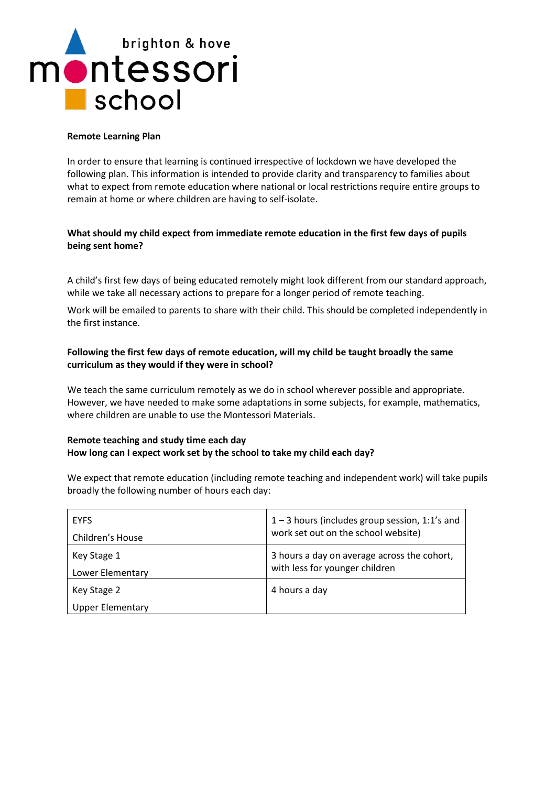# brighton & hove montessori  $\blacksquare$  school

#### **Remote Learning Plan**

In order to ensure that learning is continued irrespective of lockdown we have developed the following plan. This information is intended to provide clarity and transparency to families about what to expect from remote education where national or local restrictions require entire groups to remain at home or where children are having to self-isolate.

# **What should my child expect from immediate remote education in the first few days of pupils being sent home?**

A child's first few days of being educated remotely might look different from our standard approach, while we take all necessary actions to prepare for a longer period of remote teaching.

Work will be emailed to parents to share with their child. This should be completed independently in the first instance.

# **Following the first few days of remote education, will my child be taught broadly the same curriculum as they would if they were in school?**

We teach the same curriculum remotely as we do in school wherever possible and appropriate. However, we have needed to make some adaptations in some subjects, for example, mathematics, where children are unable to use the Montessori Materials.

## **Remote teaching and study time each day How long can I expect work set by the school to take my child each day?**

We expect that remote education (including remote teaching and independent work) will take pupils broadly the following number of hours each day:

| <b>EYFS</b>             | $1 - 3$ hours (includes group session, 1:1's and |
|-------------------------|--------------------------------------------------|
| Children's House        | work set out on the school website)              |
| Key Stage 1             | 3 hours a day on average across the cohort,      |
| Lower Elementary        | with less for younger children                   |
| Key Stage 2             | 4 hours a day                                    |
| <b>Upper Elementary</b> |                                                  |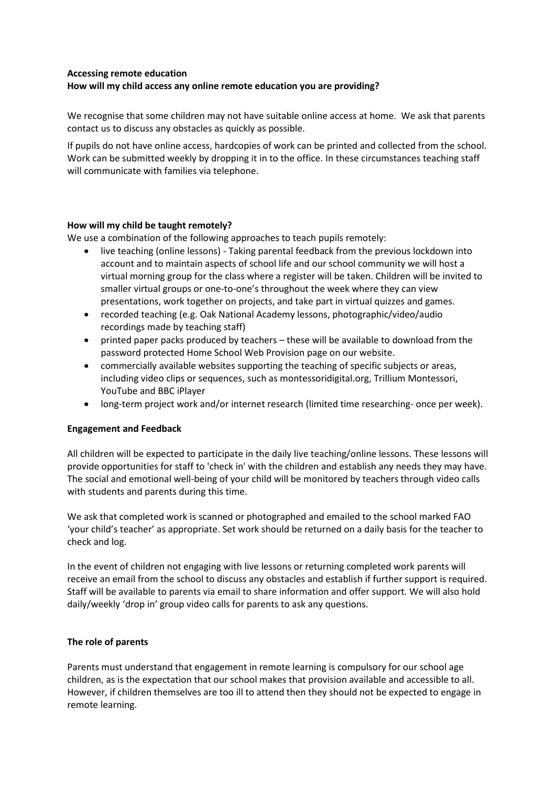## **Accessing remote education**

## **How will my child access any online remote education you are providing?**

We recognise that some children may not have suitable online access at home. We ask that parents contact us to discuss any obstacles as quickly as possible.

If pupils do not have online access, hardcopies of work can be printed and collected from the school. Work can be submitted weekly by dropping it in to the office. In these circumstances teaching staff will communicate with families via telephone.

#### **How will my child be taught remotely?**

We use a combination of the following approaches to teach pupils remotely:

- live teaching (online lessons) Taking parental feedback from the previous lockdown into account and to maintain aspects of school life and our school community we will host a virtual morning group for the class where a register will be taken. Children will be invited to smaller virtual groups or one-to-one's throughout the week where they can view presentations, work together on projects, and take part in virtual quizzes and games.
- recorded teaching (e.g. Oak National Academy lessons, photographic/video/audio recordings made by teaching staff)
- printed paper packs produced by teachers these will be available to download from the password protected Home School Web Provision page on our website.
- commercially available websites supporting the teaching of specific subjects or areas, including video clips or sequences, such as montessoridigital.org, Trillium Montessori, YouTube and BBC iPlayer
- long-term project work and/or internet research (limited time researching- once per week).

#### **Engagement and Feedback**

All children will be expected to participate in the daily live teaching/online lessons. These lessons will provide opportunities for staff to 'check in' with the children and establish any needs they may have. The social and emotional well-being of your child will be monitored by teachers through video calls with students and parents during this time.

We ask that completed work is scanned or photographed and emailed to the school marked FAO 'your child's teacher' as appropriate. Set work should be returned on a daily basis for the teacher to check and log.

In the event of children not engaging with live lessons or returning completed work parents will receive an email from the school to discuss any obstacles and establish if further support is required. Staff will be available to parents via email to share information and offer support. We will also hold daily/weekly 'drop in' group video calls for parents to ask any questions.

#### **The role of parents**

Parents must understand that engagement in remote learning is compulsory for our school age children, as is the expectation that our school makes that provision available and accessible to all. However, if children themselves are too ill to attend then they should not be expected to engage in remote learning.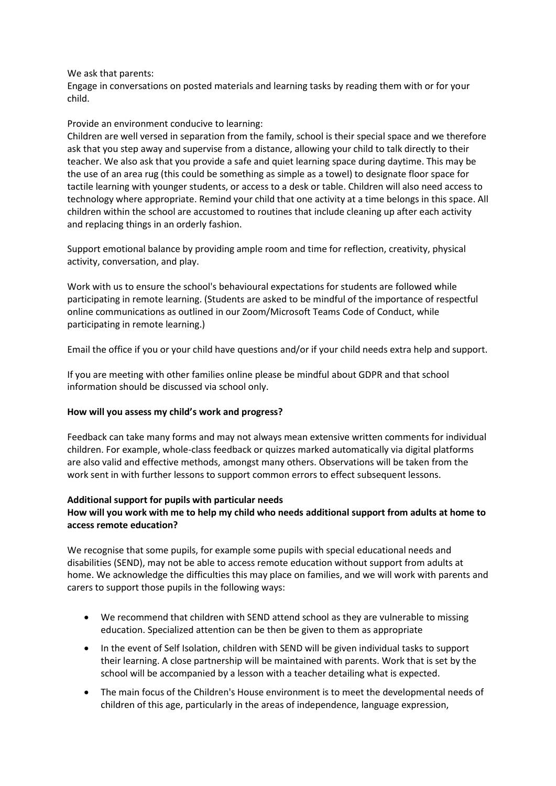We ask that parents:

Engage in conversations on posted materials and learning tasks by reading them with or for your child.

#### Provide an environment conducive to learning:

Children are well versed in separation from the family, school is their special space and we therefore ask that you step away and supervise from a distance, allowing your child to talk directly to their teacher. We also ask that you provide a safe and quiet learning space during daytime. This may be the use of an area rug (this could be something as simple as a towel) to designate floor space for tactile learning with younger students, or access to a desk or table. Children will also need access to technology where appropriate. Remind your child that one activity at a time belongs in this space. All children within the school are accustomed to routines that include cleaning up after each activity and replacing things in an orderly fashion.

Support emotional balance by providing ample room and time for reflection, creativity, physical activity, conversation, and play.

Work with us to ensure the school's behavioural expectations for students are followed while participating in remote learning. (Students are asked to be mindful of the importance of respectful online communications as outlined in our Zoom/Microsoft Teams Code of Conduct, while participating in remote learning.)

Email the office if you or your child have questions and/or if your child needs extra help and support.

If you are meeting with other families online please be mindful about GDPR and that school information should be discussed via school only.

#### **How will you assess my child's work and progress?**

Feedback can take many forms and may not always mean extensive written comments for individual children. For example, whole-class feedback or quizzes marked automatically via digital platforms are also valid and effective methods, amongst many others. Observations will be taken from the work sent in with further lessons to support common errors to effect subsequent lessons.

#### **Additional support for pupils with particular needs**

## **How will you work with me to help my child who needs additional support from adults at home to access remote education?**

We recognise that some pupils, for example some pupils with special educational needs and disabilities (SEND), may not be able to access remote education without support from adults at home. We acknowledge the difficulties this may place on families, and we will work with parents and carers to support those pupils in the following ways:

- We recommend that children with SEND attend school as they are vulnerable to missing education. Specialized attention can be then be given to them as appropriate
- In the event of Self Isolation, children with SEND will be given individual tasks to support their learning. A close partnership will be maintained with parents. Work that is set by the school will be accompanied by a lesson with a teacher detailing what is expected.
- The main focus of the Children's House environment is to meet the developmental needs of children of this age, particularly in the areas of independence, language expression,